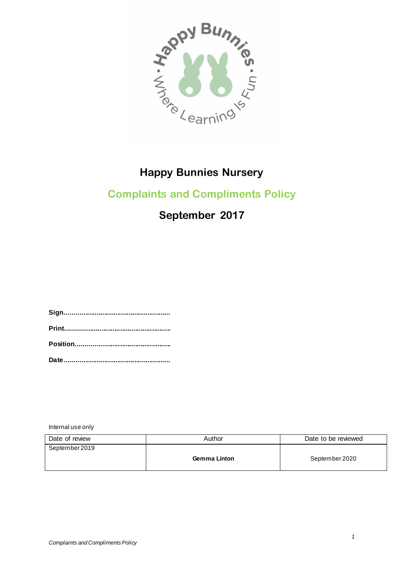

# **Complaints and Compliments Policy**

# **September 2017**

**Sign........................................................ Print........................................................ Position.................................................. Date........................................................**

Internal use only

| Date of review | Author              | Date to be reviewed |
|----------------|---------------------|---------------------|
| September 2019 |                     |                     |
|                | <b>Gemma Linton</b> | September 2020      |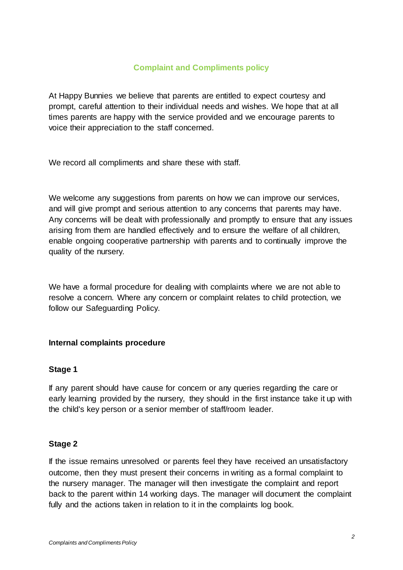## **Complaint and Compliments policy**

At Happy Bunnies we believe that parents are entitled to expect courtesy and prompt, careful attention to their individual needs and wishes. We hope that at all times parents are happy with the service provided and we encourage parents to voice their appreciation to the staff concerned.

We record all compliments and share these with staff.

We welcome any suggestions from parents on how we can improve our services, and will give prompt and serious attention to any concerns that parents may have. Any concerns will be dealt with professionally and promptly to ensure that any issues arising from them are handled effectively and to ensure the welfare of all children, enable ongoing cooperative partnership with parents and to continually improve the quality of the nursery.

We have a formal procedure for dealing with complaints where we are not able to resolve a concern. Where any concern or complaint relates to child protection, we follow our Safeguarding Policy.

#### **Internal complaints procedure**

#### **Stage 1**

If any parent should have cause for concern or any queries regarding the care or early learning provided by the nursery, they should in the first instance take it up with the child's key person or a senior member of staff/room leader.

#### **Stage 2**

If the issue remains unresolved or parents feel they have received an unsatisfactory outcome, then they must present their concerns in writing as a formal complaint to the nursery manager. The manager will then investigate the complaint and report back to the parent within 14 working days**.** The manager will document the complaint fully and the actions taken in relation to it in the complaints log book.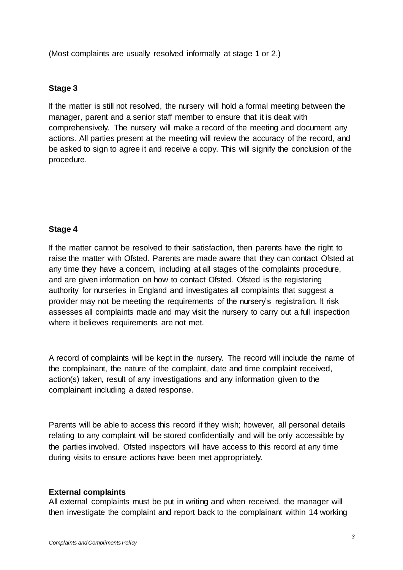(Most complaints are usually resolved informally at stage 1 or 2.)

#### **Stage 3**

If the matter is still not resolved, the nursery will hold a formal meeting between the manager, parent and a senior staff member to ensure that it is dealt with comprehensively. The nursery will make a record of the meeting and document any actions. All parties present at the meeting will review the accuracy of the record, and be asked to sign to agree it and receive a copy. This will signify the conclusion of the procedure.

### **Stage 4**

If the matter cannot be resolved to their satisfaction, then parents have the right to raise the matter with Ofsted. Parents are made aware that they can contact Ofsted at any time they have a concern, including at all stages of the complaints procedure, and are given information on how to contact Ofsted. Ofsted is the registering authority for nurseries in England and investigates all complaints that suggest a provider may not be meeting the requirements of the nursery's registration. It risk assesses all complaints made and may visit the nursery to carry out a full inspection where it believes requirements are not met.

A record of complaints will be kept in the nursery. The record will include the name of the complainant, the nature of the complaint, date and time complaint received, action(s) taken, result of any investigations and any information given to the complainant including a dated response.

Parents will be able to access this record if they wish; however, all personal details relating to any complaint will be stored confidentially and will be only accessible by the parties involved. Ofsted inspectors will have access to this record at any time during visits to ensure actions have been met appropriately.

#### **External complaints**

All external complaints must be put in writing and when received, the manager will then investigate the complaint and report back to the complainant within 14 working